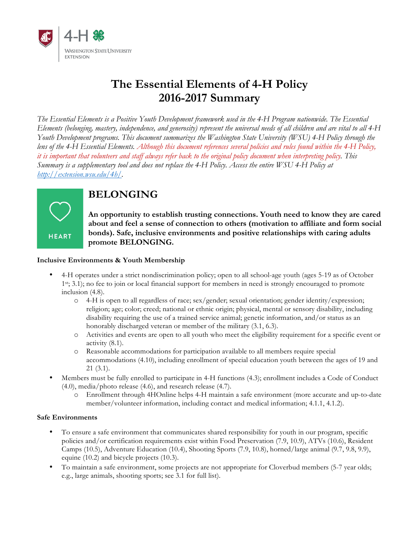

### **The Essential Elements of 4-H Policy 2016-2017 Summary**

*The Essential Elements is a Positive Youth Development framework used in the 4-H Program nationwide. The Essential Elements (belonging, mastery, independence, and generosity) represent the universal needs of all children and are vital to all 4-H Youth Development programs. This document summarizes the Washington State University (WSU) 4-H Policy through the lens of the 4-H Essential Elements. Although this document references several policies and rules found within the 4-H Policy, it is important that volunteers and staff always refer back to the original policy document when interpreting policy. This Summary is a supplementary tool and does not replace the 4-H Policy. Access the entire WSU 4-H Policy at http://extension.wsu.edu/4h/.* 



### **BELONGING**

**An opportunity to establish trusting connections. Youth need to know they are cared about and feel a sense of connection to others (motivation to affiliate and form social bonds). Safe, inclusive environments and positive relationships with caring adults promote BELONGING.**

#### **Inclusive Environments & Youth Membership**

- 4-H operates under a strict nondiscrimination policy; open to all school-age youth (ages 5-19 as of October 1st; 3.1); no fee to join or local financial support for members in need is strongly encouraged to promote inclusion (4.8).
	- o 4-H is open to all regardless of race; sex/gender; sexual orientation; gender identity/expression; religion; age; color; creed; national or ethnic origin; physical, mental or sensory disability, including disability requiring the use of a trained service animal; genetic information, and/or status as an honorably discharged veteran or member of the military (3.1, 6.3).
	- o Activities and events are open to all youth who meet the eligibility requirement for a specific event or activity (8.1).
	- o Reasonable accommodations for participation available to all members require special accommodations (4.10), including enrollment of special education youth between the ages of 19 and 21 (3.1).
- Members must be fully enrolled to participate in 4-H functions (4.3); enrollment includes a Code of Conduct (4.0), media/photo release (4.6), and research release (4.7).
	- o Enrollment through 4HOnline helps 4-H maintain a safe environment (more accurate and up-to-date member/volunteer information, including contact and medical information; 4.1.1, 4.1.2).

#### **Safe Environments**

- To ensure a safe environment that communicates shared responsibility for youth in our program, specific policies and/or certification requirements exist within Food Preservation (7.9, 10.9), ATVs (10.6), Resident Camps (10.5), Adventure Education (10.4), Shooting Sports (7.9, 10.8), horned/large animal (9.7, 9.8, 9.9), equine (10.2) and bicycle projects (10.3).
- To maintain a safe environment, some projects are not appropriate for Cloverbud members (5-7 year olds; e.g., large animals, shooting sports; see 3.1 for full list).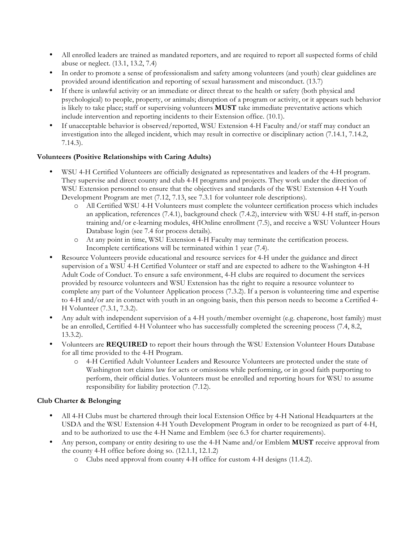- All enrolled leaders are trained as mandated reporters, and are required to report all suspected forms of child abuse or neglect. (13.1, 13.2, 7.4)
- In order to promote a sense of professionalism and safety among volunteers (and youth) clear guidelines are provided around identification and reporting of sexual harassment and misconduct. (13.7)
- If there is unlawful activity or an immediate or direct threat to the health or safety (both physical and psychological) to people, property, or animals; disruption of a program or activity, or it appears such behavior is likely to take place; staff or supervising volunteers **MUST** take immediate preventative actions which include intervention and reporting incidents to their Extension office. (10.1).
- If unacceptable behavior is observed/reported, WSU Extension 4-H Faculty and/or staff may conduct an investigation into the alleged incident, which may result in corrective or disciplinary action (7.14.1, 7.14.2, 7.14.3).

#### **Volunteers (Positive Relationships with Caring Adults)**

- WSU 4-H Certified Volunteers are officially designated as representatives and leaders of the 4-H program. They supervise and direct county and club 4-H programs and projects. They work under the direction of WSU Extension personnel to ensure that the objectives and standards of the WSU Extension 4-H Youth Development Program are met (7.12, 7.13, see 7.3.1 for volunteer role descriptions).
	- o All Certified WSU 4-H Volunteers must complete the volunteer certification process which includes an application, references (7.4.1), background check (7.4.2), interview with WSU 4-H staff, in-person training and/or e-learning modules, 4HOnline enrollment (7.5), and receive a WSU Volunteer Hours Database login (see 7.4 for process details).
	- o At any point in time, WSU Extension 4-H Faculty may terminate the certification process. Incomplete certifications will be terminated within 1 year (7.4).
- Resource Volunteers provide educational and resource services for 4-H under the guidance and direct supervision of a WSU 4-H Certified Volunteer or staff and are expected to adhere to the Washington 4-H Adult Code of Conduct. To ensure a safe environment, 4-H clubs are required to document the services provided by resource volunteers and WSU Extension has the right to require a resource volunteer to complete any part of the Volunteer Application process (7.3.2). If a person is volunteering time and expertise to 4-H and/or are in contact with youth in an ongoing basis, then this person needs to become a Certified 4- H Volunteer (7.3.1, 7.3.2).
- Any adult with independent supervision of a 4-H youth/member overnight (e.g. chaperone, host family) must be an enrolled, Certified 4-H Volunteer who has successfully completed the screening process (7.4, 8.2, 13.3.2).
- Volunteers are REQUIRED to report their hours through the WSU Extension Volunteer Hours Database for all time provided to the 4-H Program.
	- o 4-H Certified Adult Volunteer Leaders and Resource Volunteers are protected under the state of Washington tort claims law for acts or omissions while performing, or in good faith purporting to perform, their official duties. Volunteers must be enrolled and reporting hours for WSU to assume responsibility for liability protection (7.12).

#### **Club Charter & Belonging**

- All 4-H Clubs must be chartered through their local Extension Office by 4-H National Headquarters at the USDA and the WSU Extension 4-H Youth Development Program in order to be recognized as part of 4-H, and to be authorized to use the 4-H Name and Emblem (see 6.3 for charter requirements).
- Any person, company or entity desiring to use the 4-H Name and/or Emblem **MUST** receive approval from the county 4-H office before doing so. (12.1.1, 12.1.2)
	- o Clubs need approval from county 4-H office for custom 4-H designs (11.4.2).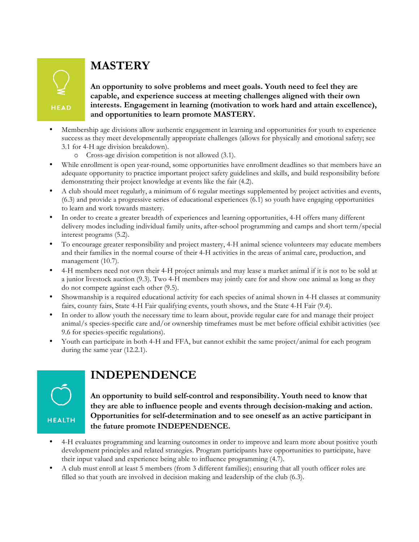# **MASTERY**

**HEAD** 

**An opportunity to solve problems and meet goals. Youth need to feel they are capable, and experience success at meeting challenges aligned with their own interests. Engagement in learning (motivation to work hard and attain excellence), and opportunities to learn promote MASTERY.**

- Membership age divisions allow authentic engagement in learning and opportunities for youth to experience success as they meet developmentally appropriate challenges (allows for physically and emotional safety; see 3.1 for 4-H age division breakdown).
	- o Cross-age division competition is not allowed (3.1).
- While enrollment is open year-round, some opportunities have enrollment deadlines so that members have an adequate opportunity to practice important project safety guidelines and skills, and build responsibility before demonstrating their project knowledge at events like the fair (4.2).
- A club should meet regularly, a minimum of 6 regular meetings supplemented by project activities and events, (6.3) and provide a progressive series of educational experiences (6.1) so youth have engaging opportunities to learn and work towards mastery.
- In order to create a greater breadth of experiences and learning opportunities, 4-H offers many different delivery modes including individual family units, after-school programming and camps and short term/special interest programs (5.2).
- To encourage greater responsibility and project mastery, 4-H animal science volunteers may educate members and their families in the normal course of their 4-H activities in the areas of animal care, production, and management (10.7).
- 4-H members need not own their 4-H project animals and may lease a market animal if it is not to be sold at a junior livestock auction (9.3). Two 4-H members may jointly care for and show one animal as long as they do not compete against each other (9.5).
- Showmanship is a required educational activity for each species of animal shown in 4-H classes at community fairs, county fairs, State 4-H Fair qualifying events, youth shows, and the State 4-H Fair (9.4).
- In order to allow youth the necessary time to learn about, provide regular care for and manage their project animal/s species-specific care and/or ownership timeframes must be met before official exhibit activities (see 9.6 for species-specific regulations).
- Youth can participate in both 4-H and FFA, but cannot exhibit the same project/animal for each program during the same year (12.2.1).

**HEALTH** 

## **INDEPENDENCE**

**An opportunity to build self-control and responsibility. Youth need to know that they are able to influence people and events through decision-making and action. Opportunities for self-determination and to see oneself as an active participant in the future promote INDEPENDENCE.**

- 4-H evaluates programming and learning outcomes in order to improve and learn more about positive youth development principles and related strategies. Program participants have opportunities to participate, have their input valued and experience being able to influence programming (4.7).
- A club must enroll at least 5 members (from 3 different families); ensuring that all youth officer roles are filled so that youth are involved in decision making and leadership of the club (6.3).